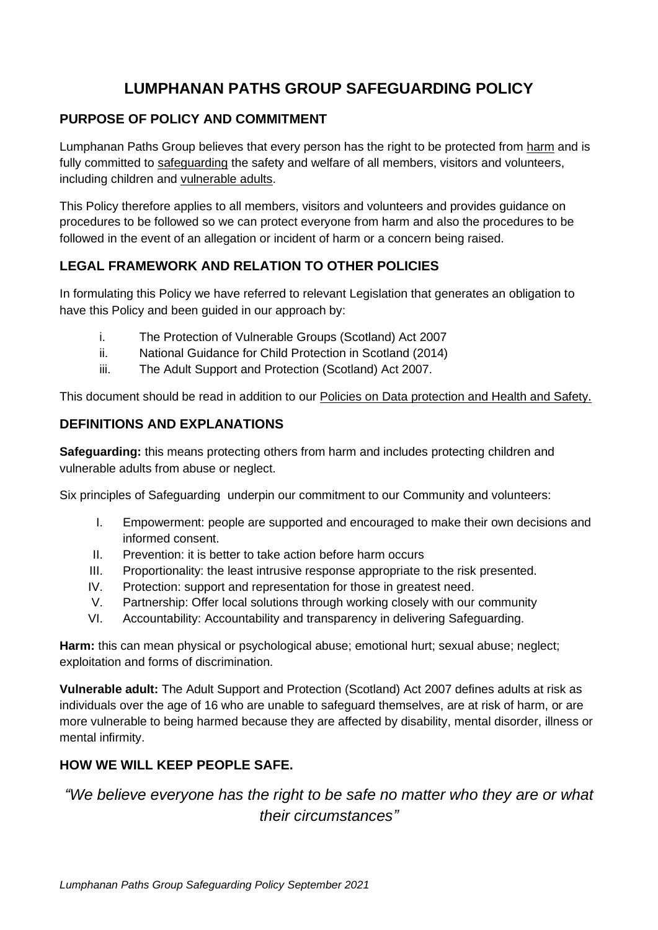# **LUMPHANAN PATHS GROUP SAFEGUARDING POLICY**

## **PURPOSE OF POLICY AND COMMITMENT**

Lumphanan Paths Group believes that every person has the right to be protected from harm and is fully committed to safeguarding the safety and welfare of all members, visitors and volunteers, including children and vulnerable adults.

This Policy therefore applies to all members, visitors and volunteers and provides guidance on procedures to be followed so we can protect everyone from harm and also the procedures to be followed in the event of an allegation or incident of harm or a concern being raised.

# **LEGAL FRAMEWORK AND RELATION TO OTHER POLICIES**

In formulating this Policy we have referred to relevant Legislation that generates an obligation to have this Policy and been guided in our approach by:

- i. The Protection of Vulnerable Groups (Scotland) Act 2007
- ii. National Guidance for Child Protection in Scotland (2014)
- iii. The Adult Support and Protection (Scotland) Act 2007.

This document should be read in addition to our Policies on Data protection and Health and Safety.

## **DEFINITIONS AND EXPLANATIONS**

**Safeguarding:** this means protecting others from harm and includes protecting children and vulnerable adults from abuse or neglect.

Six principles of Safeguarding underpin our commitment to our Community and volunteers:

- I. Empowerment: people are supported and encouraged to make their own decisions and informed consent.
- II. Prevention: it is better to take action before harm occurs
- III. Proportionality: the least intrusive response appropriate to the risk presented.
- IV. Protection: support and representation for those in greatest need.
- V. Partnership: Offer local solutions through working closely with our community
- VI. Accountability: Accountability and transparency in delivering Safeguarding.

**Harm:** this can mean physical or psychological abuse; emotional hurt; sexual abuse; neglect; exploitation and forms of discrimination.

**Vulnerable adult:** The Adult Support and Protection (Scotland) Act 2007 defines adults at risk as individuals over the age of 16 who are unable to safeguard themselves, are at risk of harm, or are more vulnerable to being harmed because they are affected by disability, mental disorder, illness or mental infirmity.

### **HOW WE WILL KEEP PEOPLE SAFE.**

*"We believe everyone has the right to be safe no matter who they are or what their circumstances"*